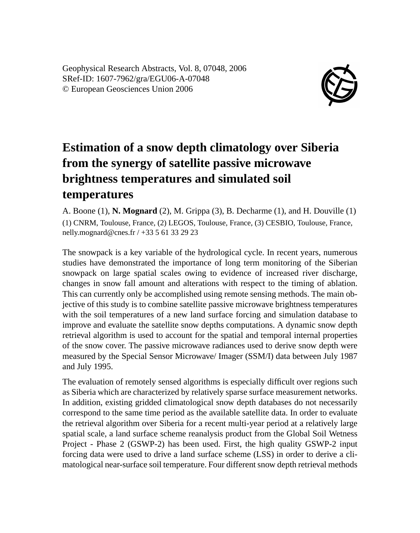Geophysical Research Abstracts, Vol. 8, 07048, 2006 SRef-ID: 1607-7962/gra/EGU06-A-07048 © European Geosciences Union 2006



## **Estimation of a snow depth climatology over Siberia from the synergy of satellite passive microwave brightness temperatures and simulated soil temperatures**

A. Boone (1), **N. Mognard** (2), M. Grippa (3), B. Decharme (1), and H. Douville (1) (1) CNRM, Toulouse, France, (2) LEGOS, Toulouse, France, (3) CESBIO, Toulouse, France, nelly.mognard@cnes.fr / +33 5 61 33 29 23

The snowpack is a key variable of the hydrological cycle. In recent years, numerous studies have demonstrated the importance of long term monitoring of the Siberian snowpack on large spatial scales owing to evidence of increased river discharge, changes in snow fall amount and alterations with respect to the timing of ablation. This can currently only be accomplished using remote sensing methods. The main objective of this study is to combine satellite passive microwave brightness temperatures with the soil temperatures of a new land surface forcing and simulation database to improve and evaluate the satellite snow depths computations. A dynamic snow depth retrieval algorithm is used to account for the spatial and temporal internal properties of the snow cover. The passive microwave radiances used to derive snow depth were measured by the Special Sensor Microwave/ Imager (SSM/I) data between July 1987 and July 1995.

The evaluation of remotely sensed algorithms is especially difficult over regions such as Siberia which are characterized by relatively sparse surface measurement networks. In addition, existing gridded climatological snow depth databases do not necessarily correspond to the same time period as the available satellite data. In order to evaluate the retrieval algorithm over Siberia for a recent multi-year period at a relatively large spatial scale, a land surface scheme reanalysis product from the Global Soil Wetness Project - Phase 2 (GSWP-2) has been used. First, the high quality GSWP-2 input forcing data were used to drive a land surface scheme (LSS) in order to derive a climatological near-surface soil temperature. Four different snow depth retrieval methods